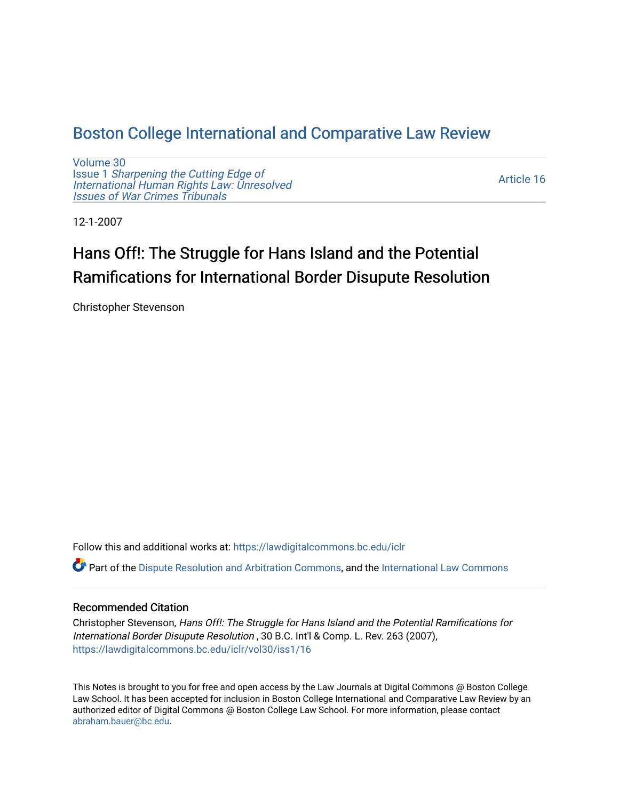## [Boston College International and Comparative Law Review](https://lawdigitalcommons.bc.edu/iclr)

[Volume 30](https://lawdigitalcommons.bc.edu/iclr/vol30) Issue 1 [Sharpening the Cutting Edge of](https://lawdigitalcommons.bc.edu/iclr/vol30/iss1) [International Human Rights Law: Unresolved](https://lawdigitalcommons.bc.edu/iclr/vol30/iss1) [Issues of War Crimes Tribunals](https://lawdigitalcommons.bc.edu/iclr/vol30/iss1) 

[Article 16](https://lawdigitalcommons.bc.edu/iclr/vol30/iss1/16) 

12-1-2007

# Hans Off!: The Struggle for Hans Island and the Potential Ramifications for International Border Disupute Resolution

Christopher Stevenson

Follow this and additional works at: [https://lawdigitalcommons.bc.edu/iclr](https://lawdigitalcommons.bc.edu/iclr?utm_source=lawdigitalcommons.bc.edu%2Ficlr%2Fvol30%2Fiss1%2F16&utm_medium=PDF&utm_campaign=PDFCoverPages) 

Part of the [Dispute Resolution and Arbitration Commons,](http://network.bepress.com/hgg/discipline/890?utm_source=lawdigitalcommons.bc.edu%2Ficlr%2Fvol30%2Fiss1%2F16&utm_medium=PDF&utm_campaign=PDFCoverPages) and the [International Law Commons](http://network.bepress.com/hgg/discipline/609?utm_source=lawdigitalcommons.bc.edu%2Ficlr%2Fvol30%2Fiss1%2F16&utm_medium=PDF&utm_campaign=PDFCoverPages) 

### Recommended Citation

Christopher Stevenson, Hans Off!: The Struggle for Hans Island and the Potential Ramifications for International Border Disupute Resolution , 30 B.C. Int'l & Comp. L. Rev. 263 (2007), [https://lawdigitalcommons.bc.edu/iclr/vol30/iss1/16](https://lawdigitalcommons.bc.edu/iclr/vol30/iss1/16?utm_source=lawdigitalcommons.bc.edu%2Ficlr%2Fvol30%2Fiss1%2F16&utm_medium=PDF&utm_campaign=PDFCoverPages)

This Notes is brought to you for free and open access by the Law Journals at Digital Commons @ Boston College Law School. It has been accepted for inclusion in Boston College International and Comparative Law Review by an authorized editor of Digital Commons @ Boston College Law School. For more information, please contact [abraham.bauer@bc.edu.](mailto:abraham.bauer@bc.edu)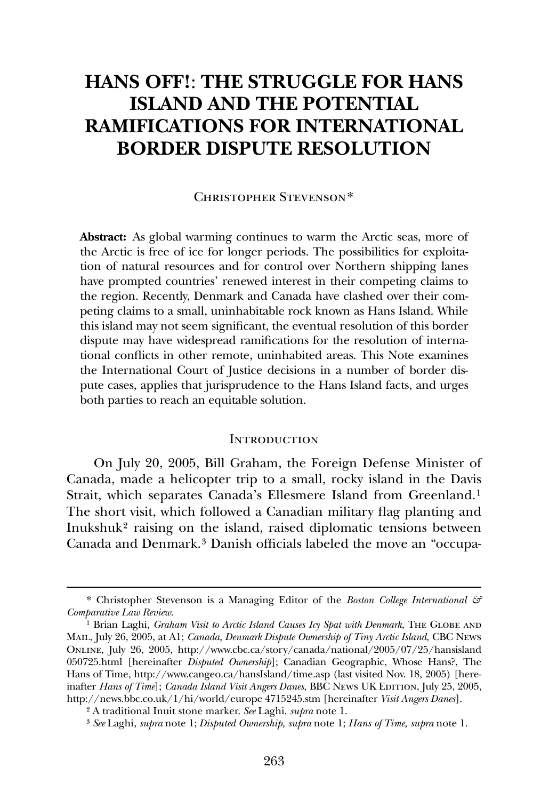## **HANS OFF!**: **THE STRUGGLE FOR HANS ISLAND AND THE POTENTIAL RAMIFICATIONS FOR INTERNATIONAL BORDER DISPUTE RESOLUTION**

#### Christopher Stevenson[\\*](#page-1-0)

**Abstract:** As global warming continues to warm the Arctic seas, more of the Arctic is free of ice for longer periods. The possibilities for exploitation of natural resources and for control over Northern shipping lanes have prompted countries' renewed interest in their competing claims to the region. Recently, Denmark and Canada have clashed over their competing claims to a small, uninhabitable rock known as Hans Island. While this island may not seem significant, the eventual resolution of this border dispute may have widespread ramifications for the resolution of international conflicts in other remote, uninhabited areas. This Note examines the International Court of Justice decisions in a number of border dispute cases, applies that jurisprudence to the Hans Island facts, and urges both parties to reach an equitable solution.

#### **INTRODUCTION**

 On July 20, 2005, Bill Graham, the Foreign Defense Minister of Canada, made a helicopter trip to a small, rocky island in the Davis Strait, which separates Canada's Ellesmere Island from Greenland.[1](#page-1-1) The short visit, which followed a Canadian military flag planting and Inukshuk[2](#page-1-2) raising on the island, raised diplomatic tensions between Canada and Denmark.<sup>[3](#page-1-3)</sup> Danish officials labeled the move an "occupa-

<u>.</u>

<span id="page-1-0"></span><sup>\*</sup> Christopher Stevenson is a Managing Editor of the *Boston College International & Comparative Law Review*.

<span id="page-1-1"></span><sup>&</sup>lt;sup>1</sup> Brian Laghi, *Graham Visit to Arctic Island Causes Icy Spat with Denmark*, THE GLOBE AND Mail, July 26, 2005, at A1; *Canada, Denmark Dispute Ownership of Tiny Arctic Island,* CBC News Online, July 26, 2005, http://www.cbc.ca/story/canada/national/2005/07/25/hansisland 050725.html [hereinafter *Disputed Ownership*]; Canadian Geographic, Whose Hans?, The Hans of Time, http://www.cangeo.ca/hansIsland/time.asp (last visited Nov. 18, 2005) [hereinafter *Hans of Time*]; *Canada Island Visit Angers Danes*, BBC News UK EDITION, July 25, 2005, http://news.bbc.co.uk/1/hi/world/europe 4715245.stm [hereinafter *Visit Angers Danes*].

<span id="page-1-2"></span><sup>2</sup> A traditional Inuit stone marker. *See* Laghi. *supra* note 1.

<span id="page-1-3"></span><sup>3</sup> *See* Laghi, *supra* note 1; *Disputed Ownership, supra* note 1; *Hans of Time, supra* note 1.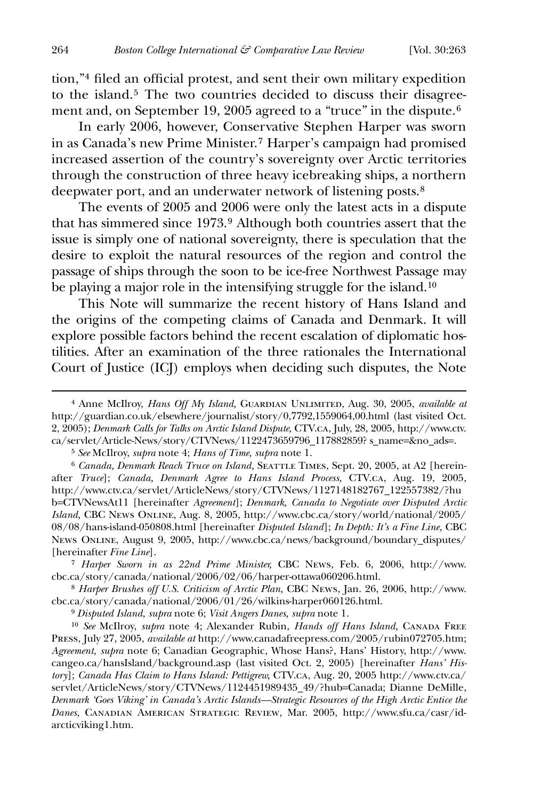tion,"<sup>[4](#page-2-0)</sup> filed an official protest, and sent their own military expedition to the island.[5](#page-2-1) The two countries decided to discuss their disagree-ment and, on September 19, 2005 agreed to a "truce" in the dispute.<sup>[6](#page-2-2)</sup>

 In early 2006, however, Conservative Stephen Harper was sworn in as Canada's new Prime Minister.[7](#page-2-3) Harper's campaign had promised increased assertion of the country's sovereignty over Arctic territories through the construction of three heavy icebreaking ships, a northern deepwater port, and an underwater network of listening posts.<sup>[8](#page-2-4)</sup>

 The events of 2005 and 2006 were only the latest acts in a dispute that has simmered since 1973.[9](#page-2-5) Although both countries assert that the issue is simply one of national sovereignty, there is speculation that the desire to exploit the natural resources of the region and control the passage of ships through the soon to be ice-free Northwest Passage may be playing a major role in the intensifying struggle for the island.[10](#page-2-6)

 This Note will summarize the recent history of Hans Island and the origins of the competing claims of Canada and Denmark. It will explore possible factors behind the recent escalation of diplomatic hostilities. After an examination of the three rationales the International Court of Justice (ICJ) employs when deciding such disputes, the Note

<span id="page-2-3"></span>7 *Harper Sworn in as 22nd Prime Minister,* CBC News, Feb. 6, 2006, http://www. cbc.ca/story/canada/national/2006/02/06/harper-ottawa060206.html.

<span id="page-2-4"></span>8 *Harper Brushes off U.S. Criticism of Arctic Plan,* CBC News, Jan. 26, 2006, http://www. cbc.ca/story/canada/national/2006/01/26/wilkins-harper060126.html.

9 *Disputed Island, supra* note 6; *Visit Angers Danes, supra* note 1.

<span id="page-2-6"></span><span id="page-2-5"></span><sup>10</sup> *See* McIlroy, *supra* note 4; Alexander Rubin, *Hands off Hans Island*, CANADA FREE Press, July 27, 2005, *available at* http://www.canadafreepress.com/2005/rubin072705.htm; *Agreement, supra* note 6; Canadian Geographic, Whose Hans?, Hans' History, http://www. cangeo.ca/hansIsland/background.asp (last visited Oct. 2, 2005) [hereinafter *Hans' History*]; *Canada Has Claim to Hans Island: Pettigrew,* CTV.ca, Aug. 20, 2005 http://www.ctv.ca/ servlet/ArticleNews/story/CTVNews/1124451989435\_49/?hub=Canada; Dianne DeMille, *Denmark 'Goes Viking' in Canada's Arctic Islands—Strategic Resources of the High Arctic Entice the Danes,* Canadian American Strategic Review, Mar. 2005, http://www.sfu.ca/casr/idarcticviking1.htm.

<span id="page-2-0"></span><sup>&</sup>lt;sup>4</sup> Anne McIlroy, *Hans Off My Island*, GUARDIAN UNLIMITED, Aug. 30, 2005, *available at* http://guardian.co.uk/elsewhere/journalist/story/0,7792,1559064,00.html (last visited Oct. 2, 2005); *Denmark Calls for Talks on Arctic Island Dispute,* CTV.ca, July, 28, 2005, http://www.ctv. ca/servlet/Article-News/story/CTVNews/1122473659796\_117882859? s\_name=&no\_ads=.

<sup>5</sup> *See* McIlroy, *supra* note 4; *Hans of Time, supra* note 1.

<span id="page-2-2"></span><span id="page-2-1"></span><sup>&</sup>lt;sup>6</sup> Canada, Denmark Reach Truce on Island, SEATTLE TIMES, Sept. 20, 2005, at A2 [hereinafter *Truce*]; *Canada, Denmark Agree to Hans Island Process,* CTV.ca, Aug. 19, 2005, http://www.ctv.ca/servlet/ArticleNews/story/CTVNews/1127148182767\_122557382/?hu b=CTVNewsAt11 [hereinafter *Agreement*]; *Denmark, Canada to Negotiate over Disputed Arctic Island,* CBC News Online, Aug. 8, 2005, http://www.cbc.ca/story/world/national/2005/ 08/08/hans-island-050808.html [hereinafter *Disputed Island*]; *In Depth: It's a Fine Line,* CBC News Online, August 9, 2005, http://www.cbc.ca/news/background/boundary\_disputes/ [hereinafter *Fine Line*].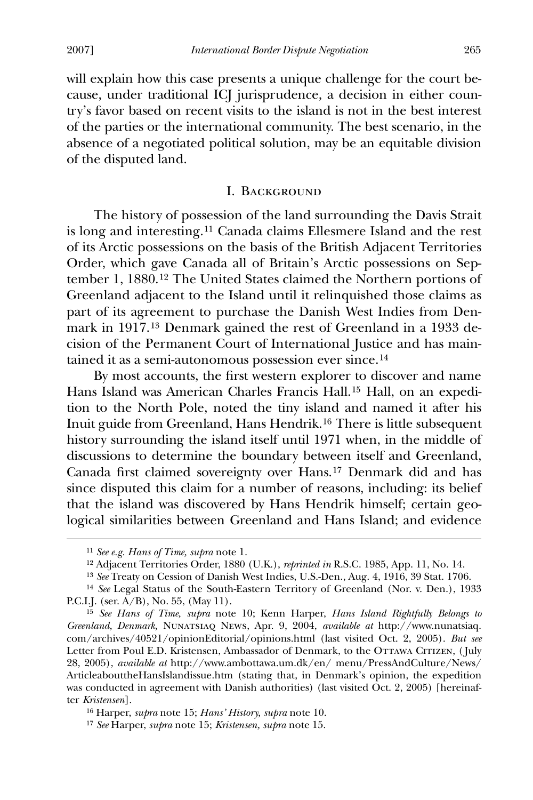will explain how this case presents a unique challenge for the court because, under traditional ICJ jurisprudence, a decision in either country's favor based on recent visits to the island is not in the best interest of the parties or the international community. The best scenario, in the absence of a negotiated political solution, may be an equitable division of the disputed land.

#### I. Background

 The history of possession of the land surrounding the Davis Strait is long and interesting.[11](#page-3-0) Canada claims Ellesmere Island and the rest of its Arctic possessions on the basis of the British Adjacent Territories Order, which gave Canada all of Britain's Arctic possessions on September 1, 1880.[12](#page-3-1) The United States claimed the Northern portions of Greenland adjacent to the Island until it relinquished those claims as part of its agreement to purchase the Danish West Indies from Denmark in 1917.[13](#page-3-2) Denmark gained the rest of Greenland in a 1933 decision of the Permanent Court of International Justice and has maintained it as a semi-autonomous possession ever since.[14](#page-3-3)

By most accounts, the first western explorer to discover and name Hans Island was American Charles Francis Hall.[15](#page-3-4) Hall, on an expedition to the North Pole, noted the tiny island and named it after his Inuit guide from Greenland, Hans Hendrik.[16](#page-3-5) There is little subsequent history surrounding the island itself until 1971 when, in the middle of discussions to determine the boundary between itself and Greenland, Canada first claimed sovereignty over Hans.<sup>[17](#page-3-6)</sup> Denmark did and has since disputed this claim for a number of reasons, including: its belief that the island was discovered by Hans Hendrik himself; certain geological similarities between Greenland and Hans Island; and evidence

<span id="page-3-0"></span><u>.</u>

<span id="page-3-5"></span>16 Harper, *supra* note 15; *Hans' History, supra* note 10.

<sup>11</sup> *See e.g. Hans of Time, supra* note 1.

<sup>12</sup> Adjacent Territories Order, 1880 (U.K.), *reprinted in* R.S.C. 1985, App. 11, No. 14.

<sup>13</sup> *See* Treaty on Cession of Danish West Indies, U.S.-Den., Aug. 4, 1916, 39 Stat. 1706.

<span id="page-3-3"></span><span id="page-3-2"></span><span id="page-3-1"></span><sup>14</sup> *See* Legal Status of the South-Eastern Territory of Greenland (Nor. v. Den.), 1933 P.C.I.J. (ser. A/B), No. 55, (May 11).

<span id="page-3-4"></span><sup>15</sup> *See Hans of Time, supra* note 10; Kenn Harper, *Hans Island Rightfully Belongs to Greenland, Denmark,* Nunatsiaq News, Apr. 9, 2004, *available at* http://www.nunatsiaq. com/archives/40521/opinionEditorial/opinions.html (last visited Oct. 2, 2005). *But see* Letter from Poul E.D. Kristensen, Ambassador of Denmark, to the OTTAWA CITIZEN, (July 28, 2005), *available at* http://www.ambottawa.um.dk/en/ menu/PressAndCulture/News/ ArticleabouttheHansIslandissue.htm (stating that, in Denmark's opinion, the expedition was conducted in agreement with Danish authorities) (last visited Oct. 2, 2005) [hereinafter *Kristensen*].

<span id="page-3-6"></span><sup>17</sup> *See* Harper, *supra* note 15; *Kristensen, supra* note 15.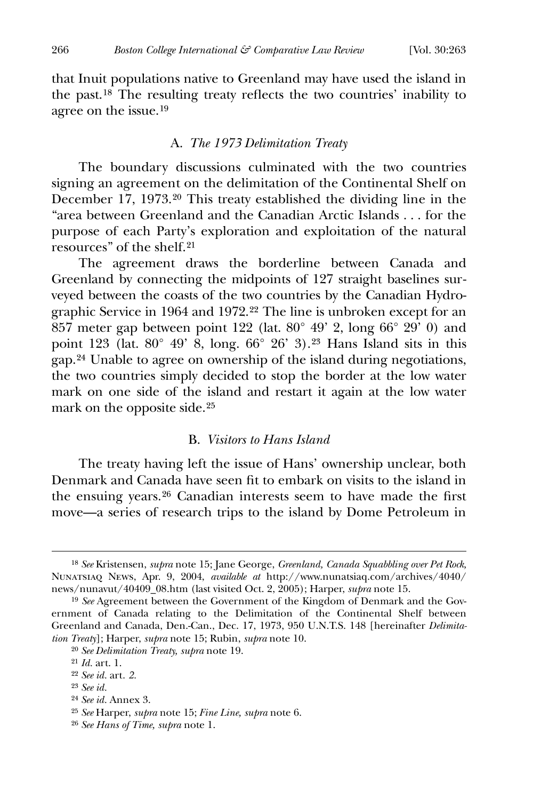that Inuit populations native to Greenland may have used the island in the past.<sup>[18](#page-4-0)</sup> The resulting treaty reflects the two countries' inability to agree on the issue.[19](#page-4-1)

#### A. *The 1973 Delimitation Treaty*

 The boundary discussions culminated with the two countries signing an agreement on the delimitation of the Continental Shelf on December 17, 1973.[20](#page-4-2) This treaty established the dividing line in the "area between Greenland and the Canadian Arctic Islands . . . for the purpose of each Party's exploration and exploitation of the natural resources" of the shelf.[21](#page-4-3)

 The agreement draws the borderline between Canada and Greenland by connecting the midpoints of 127 straight baselines surveyed between the coasts of the two countries by the Canadian Hydrographic Service in 1964 and 1972.[22](#page-4-4) The line is unbroken except for an 857 meter gap between point 122 (lat. 80° 49' 2, long 66° 29' 0) and point 123 (lat. 80° 49' 8, long. 66° 26' 3).[23](#page-4-5) Hans Island sits in this gap.[24](#page-4-6) Unable to agree on ownership of the island during negotiations, the two countries simply decided to stop the border at the low water mark on one side of the island and restart it again at the low water mark on the opposite side.<sup>[25](#page-4-7)</sup>

#### B. *Visitors to Hans Island*

 The treaty having left the issue of Hans' ownership unclear, both Denmark and Canada have seen fit to embark on visits to the island in the ensuing years.<sup>[26](#page-4-8)</sup> Canadian interests seem to have made the first move—a series of research trips to the island by Dome Petroleum in

<span id="page-4-0"></span><sup>18</sup> *See* Kristensen, *supra* note 15; Jane George, *Greenland, Canada Squabbling over Pet Rock,* Nunatsiaq News, Apr. 9, 2004, *available at* http://www.nunatsiaq.com/archives/4040/ news/nunavut/40409\_08.htm (last visited Oct. 2, 2005); Harper, *supra* note 15.

<span id="page-4-1"></span><sup>19</sup> *See* Agreement between the Government of the Kingdom of Denmark and the Government of Canada relating to the Delimitation of the Continental Shelf between Greenland and Canada, Den.-Can., Dec. 17, 1973, 950 U.N.T.S. 148 [hereinafter *Delimitation Treaty*]; Harper, *supra* note 15; Rubin, *supra* note 10.

<span id="page-4-3"></span><span id="page-4-2"></span><sup>20</sup> *See Delimitation Treaty, supra* note 19.

<sup>21</sup> *Id.* art. 1.

<span id="page-4-4"></span><sup>22</sup> *See id.* art*. 2.*

<span id="page-4-5"></span><sup>23</sup> *See id.*

<span id="page-4-6"></span><sup>24</sup> *See id.* Annex 3.

<span id="page-4-7"></span><sup>25</sup> *See* Harper, *supra* note 15; *Fine Line, supra* note 6.

<span id="page-4-8"></span><sup>26</sup> *See Hans of Time, supra* note 1.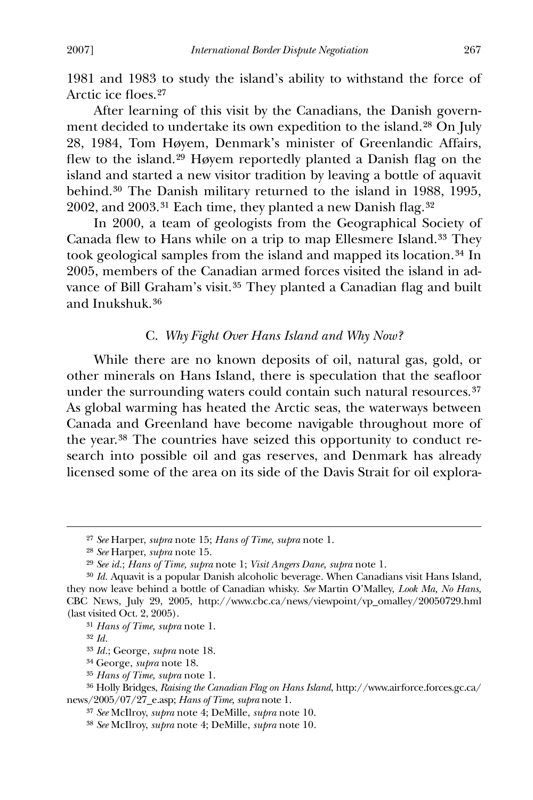1981 and 1983 to study the island's ability to withstand the force of Arctic ice floes.<sup>[27](#page-5-0)</sup>

 After learning of this visit by the Canadians, the Danish government decided to undertake its own expedition to the island.[28](#page-5-1) On July 28, 1984, Tom Høyem, Denmark's minister of Greenlandic Affairs, flew to the island.<sup>[29](#page-5-2)</sup> Høyem reportedly planted a Danish flag on the island and started a new visitor tradition by leaving a bottle of aquavit behind.[30](#page-5-3) The Danish military returned to the island in 1988, 1995, 2002, and 2003.<sup>[31](#page-5-4)</sup> Each time, they planted a new Danish flag.<sup>[32](#page-5-5)</sup>

 In 2000, a team of geologists from the Geographical Society of Canada flew to Hans while on a trip to map Ellesmere Island.<sup>[33](#page-5-6)</sup> They took geological samples from the island and mapped its location.[34](#page-5-7) In 2005, members of the Canadian armed forces visited the island in ad-vance of Bill Graham's visit.<sup>[35](#page-5-8)</sup> They planted a Canadian flag and built and Inukshuk.[36](#page-5-9)

#### C. *Why Fight Over Hans Island and Why Now?*

 While there are no known deposits of oil, natural gas, gold, or other minerals on Hans Island, there is speculation that the seafloor under the surrounding waters could contain such natural resources.<sup>[37](#page-5-10)</sup> As global warming has heated the Arctic seas, the waterways between Canada and Greenland have become navigable throughout more of the year.[38](#page-5-11) The countries have seized this opportunity to conduct research into possible oil and gas reserves, and Denmark has already licensed some of the area on its side of the Davis Strait for oil explora-

<sup>27</sup> *See* Harper, *supra* note 15; *Hans of Time, supra* note 1.

<sup>28</sup> *See* Harper, *supra* note 15.

<sup>29</sup> *See id.*; *Hans of Time, supra* note 1; *Visit Angers Dane, supra* note 1.

<span id="page-5-4"></span><span id="page-5-3"></span><span id="page-5-2"></span><span id="page-5-1"></span><span id="page-5-0"></span><sup>30</sup> *Id.* Aquavit is a popular Danish alcoholic beverage. When Canadians visit Hans Island, they now leave behind a bottle of Canadian whisky. *See* Martin O'Malley, *Look Ma, No Hans,* CBC News, July 29, 2005, http://www.cbc.ca/news/viewpoint/vp\_omalley/20050729.hml (last visited Oct. 2, 2005).

<sup>31</sup> *Hans of Time, supra* note 1.

<sup>32</sup> *Id.*

<sup>33</sup> *Id.*; George, *supra* note 18.

<sup>34</sup> George, *supra* note 18.

<sup>35</sup> *Hans of Time, supra* note 1.

<span id="page-5-11"></span><span id="page-5-10"></span><span id="page-5-9"></span><span id="page-5-8"></span><span id="page-5-7"></span><span id="page-5-6"></span><span id="page-5-5"></span><sup>36</sup> Holly Bridges, *Raising the Canadian Flag on Hans Island*, http://www.airforce.forces.gc.ca/ news/2005/07/27\_e.asp; *Hans of Time, supra* note 1.

<sup>37</sup> *See* McIlroy, *supra* note 4; DeMille, *supra* note 10.

<sup>38</sup> *See* McIlroy, *supra* note 4; DeMille, *supra* note 10*.*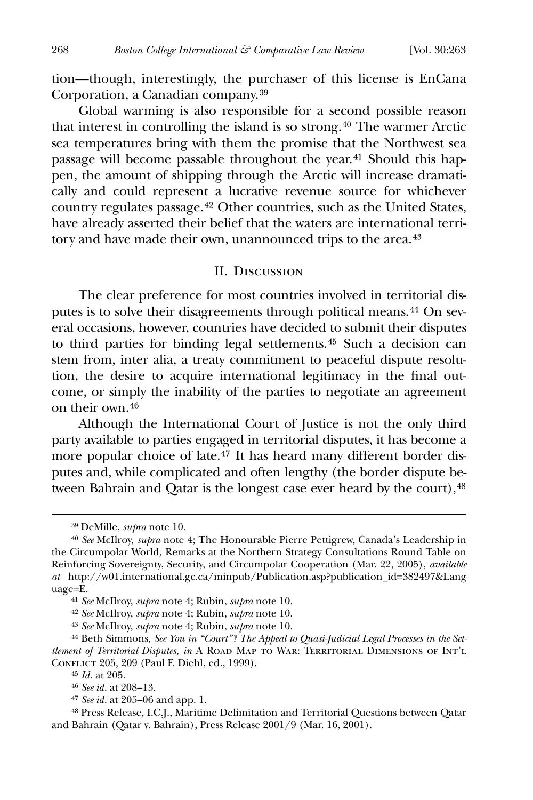tion—though, interestingly, the purchaser of this license is EnCana Corporation, a Canadian company.[39](#page-6-0)

 Global warming is also responsible for a second possible reason that interest in controlling the island is so strong.[40](#page-6-1) The warmer Arctic sea temperatures bring with them the promise that the Northwest sea passage will become passable throughout the year.[41](#page-6-2) Should this happen, the amount of shipping through the Arctic will increase dramatically and could represent a lucrative revenue source for whichever country regulates passage.[42](#page-6-3) Other countries, such as the United States, have already asserted their belief that the waters are international terri-tory and have made their own, unannounced trips to the area.<sup>[43](#page-6-4)</sup>

#### II. Discussion

 The clear preference for most countries involved in territorial disputes is to solve their disagreements through political means.[44](#page-6-5) On several occasions, however, countries have decided to submit their disputes to third parties for binding legal settlements.[45](#page-6-6) Such a decision can stem from, inter alia, a treaty commitment to peaceful dispute resolution, the desire to acquire international legitimacy in the final outcome, or simply the inability of the parties to negotiate an agreement on their own.[46](#page-6-7)

 Although the International Court of Justice is not the only third party available to parties engaged in territorial disputes, it has become a more popular choice of late.[47](#page-6-8) It has heard many different border disputes and, while complicated and often lengthy (the border dispute between Bahrain and Qatar is the longest case ever heard by the court),  $48$ 

<sup>39</sup> DeMille, *supra* note 10.

<span id="page-6-1"></span><span id="page-6-0"></span><sup>40</sup> *See* McIlroy, *supra* note 4; The Honourable Pierre Pettigrew, Canada's Leadership in the Circumpolar World*,* Remarks at the Northern Strategy Consultations Round Table on Reinforcing Sovereignty, Security, and Circumpolar Cooperation (Mar. 22, 2005), *available at* http://w01.international.gc.ca/minpub/Publication.asp?publication\_id=382497&Lang uage=E.

<sup>41</sup> *See* McIlroy, *supra* note 4; Rubin, *supra* note 10.

<sup>42</sup> *See* McIlroy, *supra* note 4; Rubin, *supra* note 10.

<sup>43</sup> *See* McIlroy, *supra* note 4; Rubin, *supra* note 10.

<span id="page-6-6"></span><span id="page-6-5"></span><span id="page-6-4"></span><span id="page-6-3"></span><span id="page-6-2"></span><sup>44</sup> Beth Simmons, *See You in "Court"? The Appeal to Quasi-Judicial Legal Processes in the Settlement of Territorial Disputes, in* A ROAD MAP TO WAR: TERRITORIAL DIMENSIONS OF INT'L CONFLICT 205, 209 (Paul F. Diehl, ed., 1999).

<sup>45</sup> *Id.* at 205.

<sup>46</sup> *See id.* at 208–13.

<sup>47</sup> *See id.* at 205–06 and app. 1.

<span id="page-6-9"></span><span id="page-6-8"></span><span id="page-6-7"></span><sup>48</sup> Press Release, I.C.J., Maritime Delimitation and Territorial Questions between Qatar and Bahrain (Qatar v. Bahrain), Press Release 2001/9 (Mar. 16, 2001).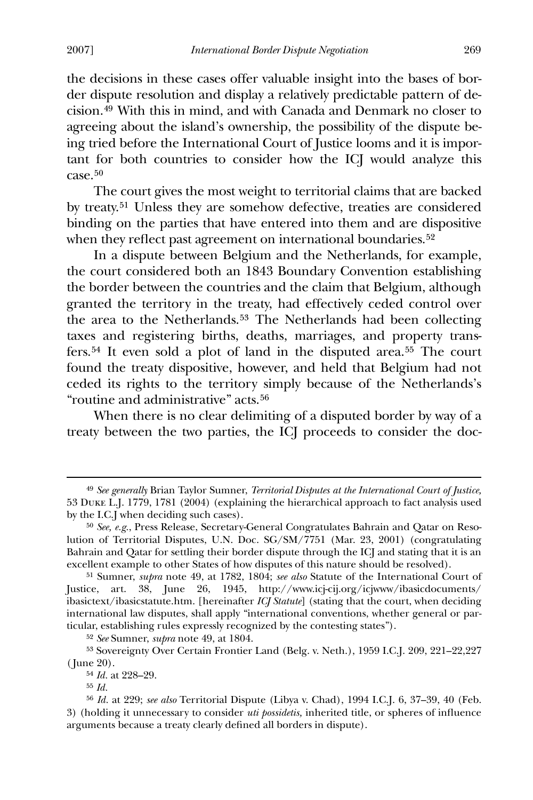the decisions in these cases offer valuable insight into the bases of border dispute resolution and display a relatively predictable pattern of decision.[49](#page-7-0) With this in mind, and with Canada and Denmark no closer to agreeing about the island's ownership, the possibility of the dispute being tried before the International Court of Justice looms and it is important for both countries to consider how the ICJ would analyze this case.[50](#page-7-1)

 The court gives the most weight to territorial claims that are backed by treaty.[51](#page-7-2) Unless they are somehow defective, treaties are considered binding on the parties that have entered into them and are dispositive when they reflect past agreement on international boundaries.<sup>[52](#page-7-3)</sup>

 In a dispute between Belgium and the Netherlands, for example, the court considered both an 1843 Boundary Convention establishing the border between the countries and the claim that Belgium, although granted the territory in the treaty, had effectively ceded control over the area to the Netherlands.<sup>[53](#page-7-4)</sup> The Netherlands had been collecting taxes and registering births, deaths, marriages, and property transfers.[54](#page-7-5) It even sold a plot of land in the disputed area.[55](#page-7-6) The court found the treaty dispositive, however, and held that Belgium had not ceded its rights to the territory simply because of the Netherlands's "routine and administrative" acts.[56](#page-7-7)

 When there is no clear delimiting of a disputed border by way of a treaty between the two parties, the ICJ proceeds to consider the doc-

52 *See* Sumner, *supra* note 49, at 1804.

<span id="page-7-5"></span><span id="page-7-4"></span><span id="page-7-3"></span>53 Sovereignty Over Certain Frontier Land (Belg. v. Neth.), 1959 I.C.J. 209, 221–22,227 ( June 20).

54 *Id.* at 228–29.

55 *Id.*

<span id="page-7-0"></span><sup>49</sup> *See generally* Brian Taylor Sumner, *Territorial Disputes at the International Court of Justice,* 53 Duke L.J. 1779, 1781 (2004) (explaining the hierarchical approach to fact analysis used by the I.C.J when deciding such cases).

<span id="page-7-1"></span><sup>50</sup> *See, e.g.*, Press Release, Secretary-General Congratulates Bahrain and Qatar on Resolution of Territorial Disputes, U.N. Doc. SG/SM/7751 (Mar. 23, 2001) (congratulating Bahrain and Qatar for settling their border dispute through the ICJ and stating that it is an excellent example to other States of how disputes of this nature should be resolved).

<span id="page-7-2"></span><sup>51</sup> Sumner, *supra* note 49, at 1782, 1804; *see also* Statute of the International Court of Justice, art. 38, June 26, 1945, http://www.icj-cij.org/icjwww/ibasicdocuments/ ibasictext/ibasicstatute.htm. [hereinafter *ICJ Statute*] (stating that the court, when deciding international law disputes, shall apply "international conventions, whether general or particular, establishing rules expressly recognized by the contesting states").

<span id="page-7-7"></span><span id="page-7-6"></span><sup>56</sup> *Id.* at 229; *see also* Territorial Dispute (Libya v. Chad), 1994 I.C.J. 6, 37–39, 40 (Feb. 3) (holding it unnecessary to consider *uti possidetis*, inherited title, or spheres of influence arguments because a treaty clearly defined all borders in dispute).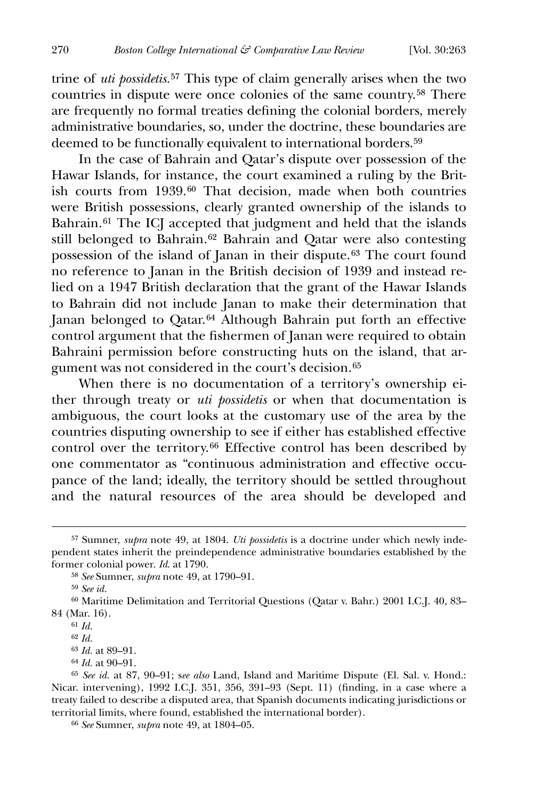trine of *uti possidetis.*[57](#page-8-0) This type of claim generally arises when the two countries in dispute were once colonies of the same country.[58](#page-8-1) There are frequently no formal treaties defining the colonial borders, merely administrative boundaries, so, under the doctrine, these boundaries are deemed to be functionally equivalent to international borders.<sup>[59](#page-8-2)</sup>

 In the case of Bahrain and Qatar's dispute over possession of the Hawar Islands, for instance, the court examined a ruling by the British courts from 1939.[60](#page-8-3) That decision, made when both countries were British possessions, clearly granted ownership of the islands to Bahrain.[61](#page-8-4) The ICJ accepted that judgment and held that the islands still belonged to Bahrain.<sup>[62](#page-8-5)</sup> Bahrain and Qatar were also contesting possession of the island of Janan in their dispute.[63](#page-8-6) The court found no reference to Janan in the British decision of 1939 and instead relied on a 1947 British declaration that the grant of the Hawar Islands to Bahrain did not include Janan to make their determination that Janan belonged to Qatar.<sup>[64](#page-8-7)</sup> Although Bahrain put forth an effective control argument that the fishermen of Janan were required to obtain Bahraini permission before constructing huts on the island, that argument was not considered in the court's decision.[65](#page-8-8)

 When there is no documentation of a territory's ownership either through treaty or *uti possidetis* or when that documentation is ambiguous, the court looks at the customary use of the area by the countries disputing ownership to see if either has established effective control over the territory.[66](#page-8-9) Effective control has been described by one commentator as "continuous administration and effective occupance of the land; ideally, the territory should be settled throughout and the natural resources of the area should be developed and

<span id="page-8-0"></span><sup>57</sup> Sumner, *supra* note 49, at 1804. *Uti possidetis* is a doctrine under which newly independent states inherit the preindependence administrative boundaries established by the former colonial power. *Id*. at 1790.

<sup>58</sup> *See* Sumner, *supra* note 49, at 1790–91.

<sup>59</sup> *See id.*

<span id="page-8-5"></span><span id="page-8-4"></span><span id="page-8-3"></span><span id="page-8-2"></span><span id="page-8-1"></span><sup>60</sup> Maritime Delimitation and Territorial Questions (Qatar v. Bahr.) 2001 I.C.J. 40, 83– 84 (Mar. 16).

<sup>61</sup> *Id.*

<sup>62</sup> *Id.*

<sup>63</sup> *Id.* at 89–91.

<sup>64</sup> *Id.* at 90–91.

<span id="page-8-9"></span><span id="page-8-8"></span><span id="page-8-7"></span><span id="page-8-6"></span><sup>65</sup> *See id.* at 87, 90–91; s*ee also* Land, Island and Maritime Dispute (El. Sal. v. Hond.: Nicar. intervening), 1992 I.C. [. 351, 356, 391–93 (Sept. 11) (finding, in a case where a treaty failed to describe a disputed area, that Spanish documents indicating jurisdictions or territorial limits, where found, established the international border).

<sup>66</sup> *See* Sumner, *supra* note 49, at 1804–05.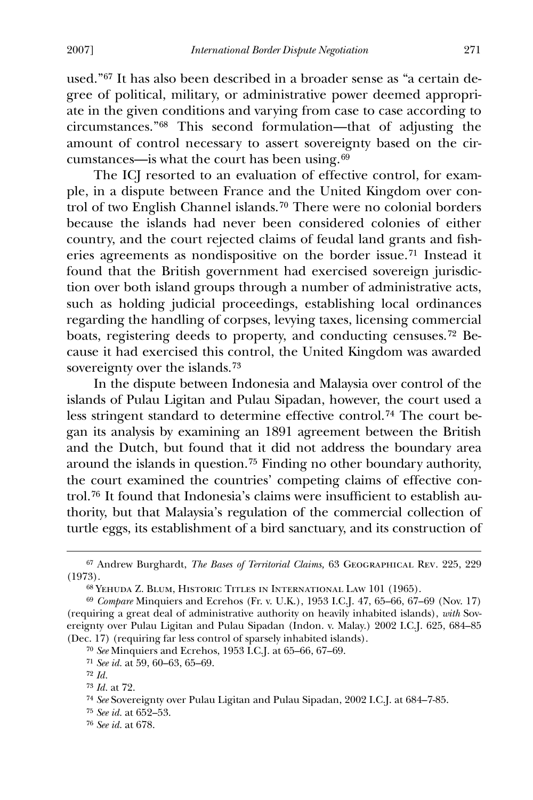used."[67](#page-9-0) It has also been described in a broader sense as "a certain degree of political, military, or administrative power deemed appropriate in the given conditions and varying from case to case according to circumstances."[68](#page-9-1) This second formulation—that of adjusting the amount of control necessary to assert sovereignty based on the circumstances—is what the court has been using.[69](#page-9-2)

 The ICJ resorted to an evaluation of effective control, for example, in a dispute between France and the United Kingdom over control of two English Channel islands.[70](#page-9-3) There were no colonial borders because the islands had never been considered colonies of either country, and the court rejected claims of feudal land grants and fisheries agreements as nondispositive on the border issue.[71](#page-9-4) Instead it found that the British government had exercised sovereign jurisdiction over both island groups through a number of administrative acts, such as holding judicial proceedings, establishing local ordinances regarding the handling of corpses, levying taxes, licensing commercial boats, registering deeds to property, and conducting censuses.[72](#page-9-5) Because it had exercised this control, the United Kingdom was awarded sovereignty over the islands.<sup>[73](#page-9-6)</sup>

 In the dispute between Indonesia and Malaysia over control of the islands of Pulau Ligitan and Pulau Sipadan, however, the court used a less stringent standard to determine effective control.[74](#page-9-7) The court began its analysis by examining an 1891 agreement between the British and the Dutch, but found that it did not address the boundary area around the islands in question.[75](#page-9-8) Finding no other boundary authority, the court examined the countries' competing claims of effective con-trol.<sup>[76](#page-9-9)</sup> It found that Indonesia's claims were insufficient to establish authority, but that Malaysia's regulation of the commercial collection of turtle eggs, its establishment of a bird sanctuary, and its construction of

<u>.</u>

<span id="page-9-0"></span><sup>67</sup> Andrew Burghardt, *The Bases of Territorial Claims,* 63 Geographical Rev. 225, 229 (1973).

<sup>68</sup> Yehuda Z. Blum, Historic Titles in International Law 101 (1965).

<span id="page-9-3"></span><span id="page-9-2"></span><span id="page-9-1"></span><sup>69</sup> *Compare* Minquiers and Ecrehos (Fr. v. U.K.), 1953 I.C.J. 47, 65–66, 67–69 (Nov. 17) (requiring a great deal of administrative authority on heavily inhabited islands), *with* Sovereignty over Pulau Ligitan and Pulau Sipadan (Indon. v. Malay.) 2002 I.C.J. 625, 684–85 (Dec. 17) (requiring far less control of sparsely inhabited islands).

<sup>70</sup> *See* Minquiers and Ecrehos, 1953 I.C.J. at 65–66, 67–69.

<span id="page-9-4"></span><sup>71</sup> *See id.* at 59, 60–63, 65–69.

<span id="page-9-5"></span><sup>72</sup> *Id.*

<span id="page-9-6"></span><sup>73</sup> *Id.* at 72.

<span id="page-9-8"></span><span id="page-9-7"></span><sup>74</sup> *See* Sovereignty over Pulau Ligitan and Pulau Sipadan, 2002 I.C.J. at 684–7-85.

<sup>75</sup> *See id.* at 652–53.

<span id="page-9-9"></span><sup>76</sup> *See id.* at 678.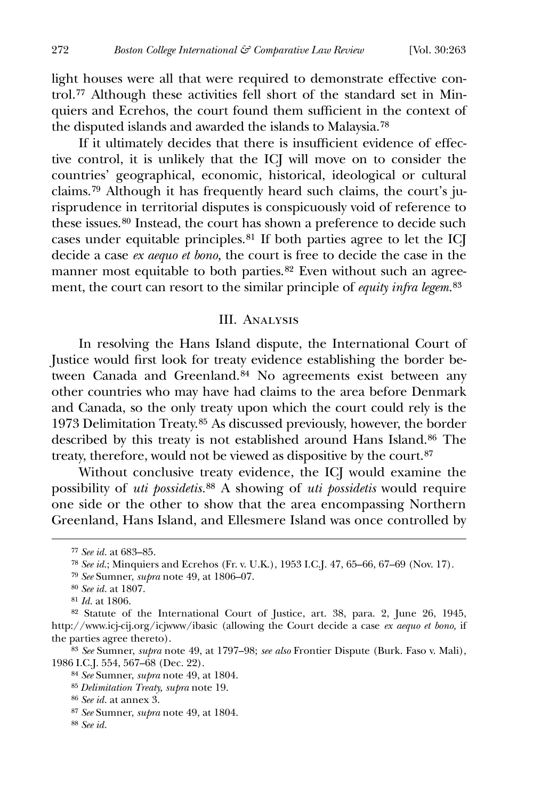light houses were all that were required to demonstrate effective control.[77](#page-10-0) Although these activities fell short of the standard set in Minquiers and Ecrehos, the court found them sufficient in the context of the disputed islands and awarded the islands to Malaysia.[78](#page-10-1)

If it ultimately decides that there is insufficient evidence of effective control, it is unlikely that the ICJ will move on to consider the countries' geographical, economic, historical, ideological or cultural claims.[79](#page-10-2) Although it has frequently heard such claims, the court's jurisprudence in territorial disputes is conspicuously void of reference to these issues.[80](#page-10-3) Instead, the court has shown a preference to decide such cases under equitable principles.[81](#page-10-4) If both parties agree to let the ICJ decide a case *ex aequo et bono,* the court is free to decide the case in the manner most equitable to both parties.<sup>[82](#page-10-5)</sup> Even without such an agreement, the court can resort to the similar principle of *equity infra legem.*[83](#page-10-6)

#### III. Analysis

 In resolving the Hans Island dispute, the International Court of Justice would first look for treaty evidence establishing the border be-tween Canada and Greenland.<sup>[84](#page-10-7)</sup> No agreements exist between any other countries who may have had claims to the area before Denmark and Canada, so the only treaty upon which the court could rely is the 1973 Delimitation Treaty.[85](#page-10-8) As discussed previously, however, the border described by this treaty is not established around Hans Island.<sup>[86](#page-10-9)</sup> The treaty, therefore, would not be viewed as dispositive by the court.[87](#page-10-10)

 Without conclusive treaty evidence, the ICJ would examine the possibility of *uti possidetis.*[88](#page-10-11) A showing of *uti possidetis* would require one side or the other to show that the area encompassing Northern Greenland, Hans Island, and Ellesmere Island was once controlled by

<span id="page-10-0"></span><sup>77</sup> *See id.* at 683–85.

<span id="page-10-1"></span><sup>78</sup> *See id*.; Minquiers and Ecrehos (Fr. v. U.K.), 1953 I.C.J. 47, 65–66, 67–69 (Nov. 17).

<sup>79</sup> *See* Sumner, *supra* note 49, at 1806–07.

<sup>80</sup> *See id.* at 1807.

<sup>81</sup> *Id.* at 1806.

<span id="page-10-5"></span><span id="page-10-4"></span><span id="page-10-3"></span><span id="page-10-2"></span><sup>82</sup> Statute of the International Court of Justice, art. 38, para. 2, June 26, 1945, http://www.icj-cij.org/icjwww/ibasic (allowing the Court decide a case *ex aequo et bono,* if the parties agree thereto).

<span id="page-10-8"></span><span id="page-10-7"></span><span id="page-10-6"></span><sup>83</sup> *See* Sumner, *supra* note 49, at 1797–98; *see also* Frontier Dispute (Burk. Faso v. Mali), 1986 I.C.J. 554, 567–68 (Dec. 22).

<sup>84</sup> *See* Sumner, *supra* note 49, at 1804.

<sup>85</sup> *Delimitation Treaty, supra* note 19.

<span id="page-10-9"></span><sup>86</sup> *See id.* at annex 3.

<span id="page-10-10"></span><sup>87</sup> *See* Sumner, *supra* note 49, at 1804.

<span id="page-10-11"></span><sup>88</sup> *See id.*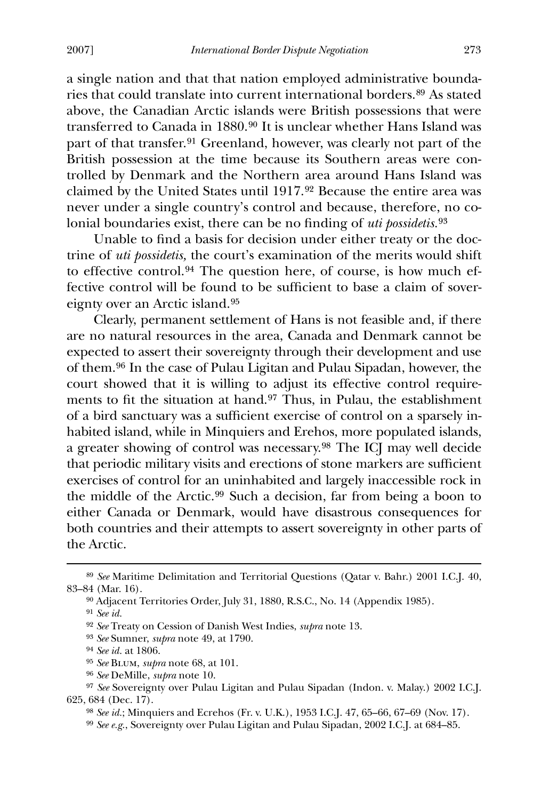a single nation and that that nation employed administrative boundaries that could translate into current international borders.[89](#page-11-0) As stated above, the Canadian Arctic islands were British possessions that were transferred to Canada in 1880.[90](#page-11-1) It is unclear whether Hans Island was part of that transfer.[91](#page-11-2) Greenland, however, was clearly not part of the British possession at the time because its Southern areas were controlled by Denmark and the Northern area around Hans Island was claimed by the United States until 1917.[92](#page-11-3) Because the entire area was never under a single country's control and because, therefore, no colonial boundaries exist, there can be no finding of *uti possidetis*.<sup>[93](#page-11-4)</sup>

Unable to find a basis for decision under either treaty or the doctrine of *uti possidetis,* the court's examination of the merits would shift to effective control.[94](#page-11-5) The question here, of course, is how much effective control will be found to be sufficient to base a claim of sovereignty over an Arctic island.[95](#page-11-6)

 Clearly, permanent settlement of Hans is not feasible and, if there are no natural resources in the area, Canada and Denmark cannot be expected to assert their sovereignty through their development and use of them.[96](#page-11-7) In the case of Pulau Ligitan and Pulau Sipadan, however, the court showed that it is willing to adjust its effective control require-ments to fit the situation at hand.<sup>[97](#page-11-8)</sup> Thus, in Pulau, the establishment of a bird sanctuary was a sufficient exercise of control on a sparsely inhabited island, while in Minquiers and Erehos, more populated islands, a greater showing of control was necessary.[98](#page-11-9) The ICJ may well decide that periodic military visits and erections of stone markers are sufficient exercises of control for an uninhabited and largely inaccessible rock in the middle of the Arctic.[99](#page-11-10) Such a decision, far from being a boon to either Canada or Denmark, would have disastrous consequences for both countries and their attempts to assert sovereignty in other parts of the Arctic.

91 *See id.*

<span id="page-11-3"></span><span id="page-11-2"></span><span id="page-11-1"></span><span id="page-11-0"></span><sup>89</sup> *See* Maritime Delimitation and Territorial Questions (Qatar v. Bahr.) 2001 I.C.J. 40, 83–84 (Mar. 16).

<sup>90</sup> Adjacent Territories Order, July 31, 1880, R.S.C., No. 14 (Appendix 1985).

<sup>92</sup> *See* Treaty on Cession of Danish West Indies, *supra* note 13.

<sup>93</sup> *See* Sumner, *supra* note 49, at 1790.

<sup>94</sup> *See id.* at 1806.

<sup>95</sup> *See* Blum, *supra* note 68, at 101.

<sup>96</sup> *See* DeMille, *supra* note 10.

<span id="page-11-10"></span><span id="page-11-9"></span><span id="page-11-8"></span><span id="page-11-7"></span><span id="page-11-6"></span><span id="page-11-5"></span><span id="page-11-4"></span><sup>97</sup> *See* Sovereignty over Pulau Ligitan and Pulau Sipadan (Indon. v. Malay.) 2002 I.C.J. 625, 684 (Dec. 17).

<sup>98</sup> *See id.*; Minquiers and Ecrehos (Fr. v. U.K.), 1953 I.C.J. 47, 65–66, 67–69 (Nov. 17).

<sup>99</sup> *See e.g.*, Sovereignty over Pulau Ligitan and Pulau Sipadan, 2002 I.C.J. at 684–85.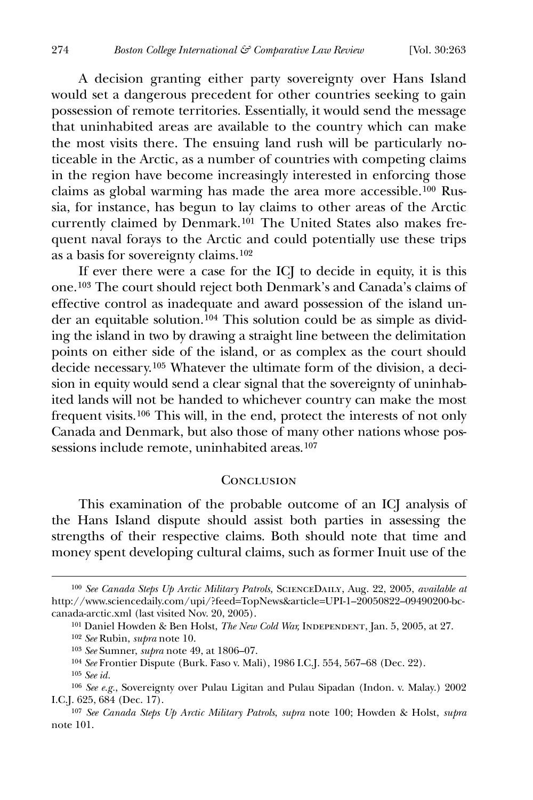A decision granting either party sovereignty over Hans Island would set a dangerous precedent for other countries seeking to gain possession of remote territories. Essentially, it would send the message that uninhabited areas are available to the country which can make the most visits there. The ensuing land rush will be particularly noticeable in the Arctic, as a number of countries with competing claims in the region have become increasingly interested in enforcing those claims as global warming has made the area more accessible.[100](#page-12-0) Russia, for instance, has begun to lay claims to other areas of the Arctic currently claimed by Denmark.[101](#page-12-1) The United States also makes frequent naval forays to the Arctic and could potentially use these trips as a basis for sovereignty claims.[102](#page-12-2)

 If ever there were a case for the ICJ to decide in equity, it is this one.[103](#page-12-3) The court should reject both Denmark's and Canada's claims of effective control as inadequate and award possession of the island under an equitable solution.[104](#page-12-4) This solution could be as simple as dividing the island in two by drawing a straight line between the delimitation points on either side of the island, or as complex as the court should decide necessary.[105](#page-12-5) Whatever the ultimate form of the division, a decision in equity would send a clear signal that the sovereignty of uninhabited lands will not be handed to whichever country can make the most frequent visits.[106](#page-12-6) This will, in the end, protect the interests of not only Canada and Denmark, but also those of many other nations whose pos-sessions include remote, uninhabited areas.<sup>[107](#page-12-7)</sup>

#### **CONCLUSION**

 This examination of the probable outcome of an ICJ analysis of the Hans Island dispute should assist both parties in assessing the strengths of their respective claims. Both should note that time and money spent developing cultural claims, such as former Inuit use of the

<span id="page-12-2"></span><span id="page-12-1"></span><span id="page-12-0"></span><sup>100</sup> *See Canada Steps Up Arctic Military Patrols,* ScienceDaily, Aug. 22, 2005, *available at* http://www.sciencedaily.com/upi/?feed=TopNews&article=UPI-1–20050822–09490200-bccanada-arctic.xml (last visited Nov. 20, 2005).

<sup>&</sup>lt;sup>101</sup> Daniel Howden & Ben Holst, *The New Cold War*, INDEPENDENT, Jan. 5, 2005, at 27. 102 *See* Rubin, *supra* note 10.

<sup>103</sup> *See* Sumner, *supra* note 49, at 1806–07.

<sup>104</sup> *See* Frontier Dispute (Burk. Faso v. Mali), 1986 I.C.J. 554, 567–68 (Dec. 22).

<sup>105</sup> *See id.*

<span id="page-12-6"></span><span id="page-12-5"></span><span id="page-12-4"></span><span id="page-12-3"></span><sup>106</sup> *See e.g.*, Sovereignty over Pulau Ligitan and Pulau Sipadan (Indon. v. Malay.) 2002 I.C.J. 625, 684 (Dec. 17).

<span id="page-12-7"></span><sup>107</sup> *See Canada Steps Up Arctic Military Patrols*, *supra* note 100; Howden & Holst, *supra* note 101.